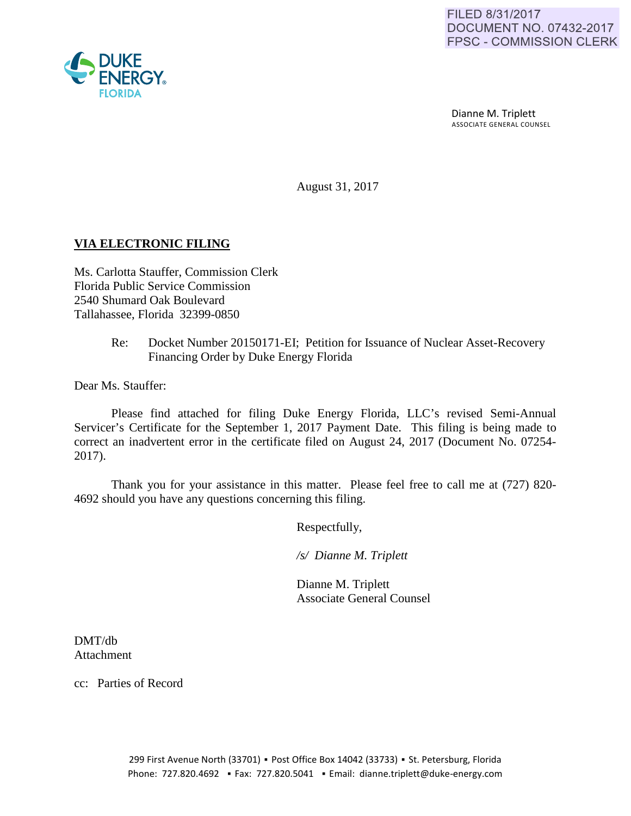

 Dianne M. Triplett ASSOCIATE GENERAL COUNSEL

August 31, 2017

## **VIA ELECTRONIC FILING**

Ms. Carlotta Stauffer, Commission Clerk Florida Public Service Commission 2540 Shumard Oak Boulevard Tallahassee, Florida 32399-0850

> Re: Docket Number 20150171-EI; Petition for Issuance of Nuclear Asset-Recovery Financing Order by Duke Energy Florida

Dear Ms. Stauffer:

Please find attached for filing Duke Energy Florida, LLC's revised Semi-Annual Servicer's Certificate for the September 1, 2017 Payment Date. This filing is being made to correct an inadvertent error in the certificate filed on August 24, 2017 (Document No. 07254- 2017).

Thank you for your assistance in this matter. Please feel free to call me at (727) 820- 4692 should you have any questions concerning this filing.

Respectfully,

 */s/ Dianne M. Triplett*

 Dianne M. Triplett Associate General Counsel

DMT/db Attachment

cc: Parties of Record

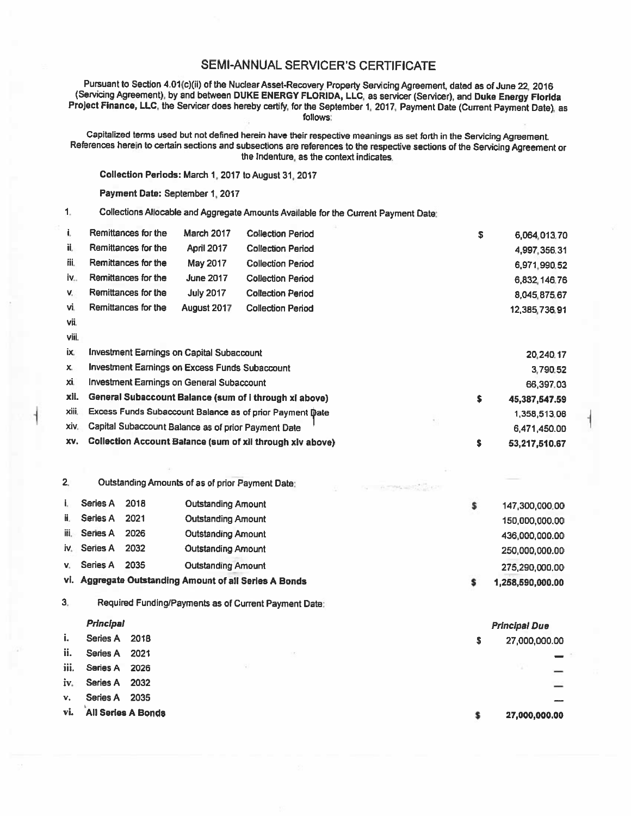## SEMI-ANNUAL SERVICER'S CERTIFICATE

Pursuant to Section 4.01(c)(ii) of the Nuclear Asset-Recovery Property Servicing Agreement, dated as of June 22, 2016<br>(Servicing Agreement), by and between DUKE ENERGY FLORIDA, LLC, as servicer (Servicer), and Duke Energy follows:

Capitalized terms used but not defined herein have their respective meanings as set forth in the Servicing Agreement.<br>References herein to certain sections and subsections are references to the respective sections of the S

Collection Periods: March 1, 2017 to August 31, 2017

Payment Data: September 1, 2017

1. Collections Allocable and Aggregate Amounts Available for the Current Payment Date:

| i.    | Remittances for the                                       | <b>March 2017</b> | <b>Collection Period</b> | \$ | 6,064,013.70  |
|-------|-----------------------------------------------------------|-------------------|--------------------------|----|---------------|
| ii.   | Remittances for the                                       | <b>April 2017</b> | <b>Collection Period</b> |    | 4,997,356.31  |
| iii.  | Remittances for the                                       | May 2017          | <b>Collection Period</b> |    | 6,971,990.52  |
| iv.,  | Remittances for the                                       | <b>June 2017</b>  | <b>Collection Period</b> |    | 6,832,146.76  |
| V.    | Remittances for the                                       | <b>July 2017</b>  | <b>Collection Period</b> |    | 8,045,875.67  |
| vi.   | Remittances for the                                       | August 2017       | <b>Collection Period</b> |    | 12,385,736.91 |
| vii.  |                                                           |                   |                          |    |               |
| viii. |                                                           |                   |                          |    |               |
| ix.   | Investment Earnings on Capital Subaccount                 |                   | 20,240.17                |    |               |
| х.    | <b>Investment Earnings on Excess Funds Subaccount</b>     |                   |                          |    | 3,790.52      |
| xi.   | <b>Investment Earnings on General Subaccount</b>          |                   |                          |    | 66,397.03     |
| xii.  | General Subaccount Balance (sum of i through xi above)    |                   |                          | \$ | 45,387,547.59 |
| xiii. | Excess Funds Subaccount Balance as of prior Payment Date  |                   |                          |    | 1,358,513.08  |
| xiv.  | Capital Subaccount Balance as of prior Payment Date       |                   |                          |    | 6,471,450.00  |
| XV.   | Collection Account Balance (sum of xii through xiv above) |                   |                          | \$ | 53,217,510.67 |
|       |                                                           |                   |                          |    |               |

2. Outstanding Amounts of as of prior Payment Date: I. Series A 2018 Outstanding Amount ii. Series A 2021 Outstanding Amount iii. Series A 2026 Outstanding Amount iv. Series A 2032 Outstanding Amount v. Series A 2035 Outstanding Amount vi. Aggregate Outstanding Amount of all Series A Bonds \$ \$ 147,300,000.00 150,000,000.00 436,000,000.00 250,000,000.00 275,290,000.00 1,258,590,000.00

3. Required Funding/Payments as of Current Payment Date:

## Principal

|      | Principal                 |      |  |  |  |   | <b>Principal Due</b>     |
|------|---------------------------|------|--|--|--|---|--------------------------|
| i.   | Series A                  | 2018 |  |  |  | s | 27,000,000.00            |
| ii.  | Series A                  | 2021 |  |  |  |   |                          |
| iii. | Series A                  | 2026 |  |  |  |   |                          |
| iv.  | Series A                  | 2032 |  |  |  |   | $\overline{\phantom{a}}$ |
| v.   | Series A                  | 2035 |  |  |  |   |                          |
| vi.  | <b>All Series A Bonds</b> |      |  |  |  |   | 27,000,000.00            |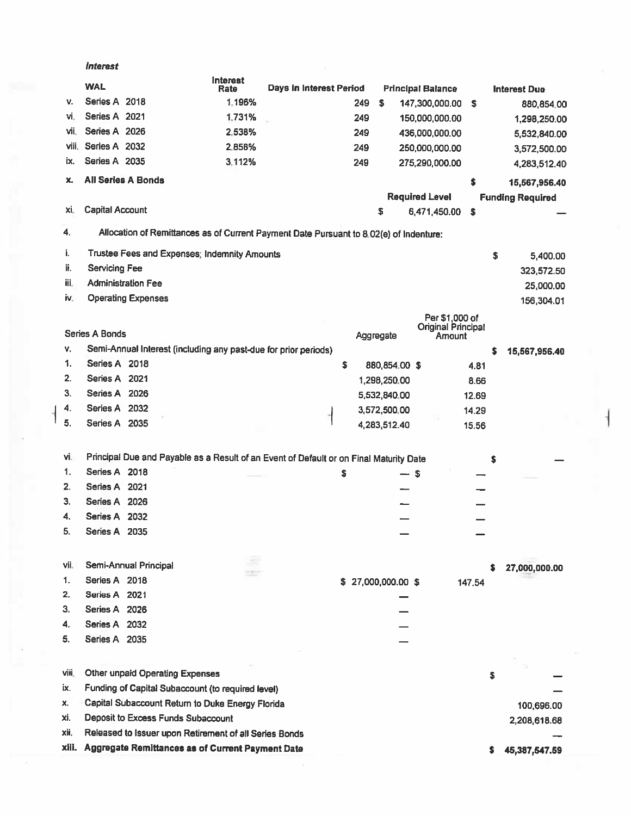|       | <i><b>Interest</b></i>                                                                 |                         |                         |     |                   |                                     |               |            |                         |
|-------|----------------------------------------------------------------------------------------|-------------------------|-------------------------|-----|-------------------|-------------------------------------|---------------|------------|-------------------------|
|       | <b>WAL</b>                                                                             | <b>Interest</b><br>Rate | Days in Interest Period |     |                   | <b>Principal Balance</b>            |               |            | <b>Interest Due</b>     |
| v.    | Series A 2018                                                                          | 1.196%                  |                         | 249 | <b>S</b>          | 147,300,000.00                      | $\sqrt{3}$    |            | 880,854.00              |
| ٧İ.   | Series A 2021                                                                          | 1.731%                  |                         | 249 |                   | 150,000,000.00                      |               |            | 1,298,250.00            |
| vii.  | Series A 2026                                                                          | 2.538%                  |                         | 249 |                   | 436,000,000.00                      |               |            | 5,532,840.00            |
| viii. | Series A 2032                                                                          | 2.858%                  |                         | 249 |                   | 250,000,000.00                      |               |            | 3,572,500.00            |
| İΧ.   | Series A 2035                                                                          | 3.112%                  |                         | 249 |                   | 275,290,000.00                      |               |            | 4,283,512.40            |
| x.    | <b>All Series A Bonds</b>                                                              |                         |                         |     |                   |                                     | \$            |            | 15,567,956.40           |
|       |                                                                                        |                         |                         |     |                   | <b>Required Level</b>               |               |            | <b>Funding Required</b> |
| Xİ.   | <b>Capital Account</b>                                                                 |                         |                         |     | s                 | 6,471,450.00                        | \$            |            |                         |
|       |                                                                                        |                         |                         |     |                   |                                     |               |            |                         |
| 4.    | Allocation of Remittances as of Current Payment Date Pursuant to 8.02(e) of Indenture: |                         |                         |     |                   |                                     |               |            |                         |
| Ĭ.    | Trustee Fees and Expenses; Indemnity Amounts                                           |                         |                         |     |                   |                                     |               | \$         | 5,400.00                |
| ii.   | <b>Servicing Fee</b>                                                                   |                         |                         |     |                   |                                     |               |            | 323,572.50              |
| iii.  | <b>Administration Fee</b>                                                              |                         |                         |     |                   |                                     |               |            | 25,000.00               |
| iv.   | <b>Operating Expenses</b>                                                              |                         |                         |     |                   |                                     |               |            | 156,304.01              |
|       |                                                                                        |                         |                         |     |                   | Per \$1,000 of                      |               |            |                         |
|       | <b>Series A Bonds</b>                                                                  |                         |                         |     | Aggregate         | <b>Original Principal</b><br>Amount |               |            |                         |
| ۷.    | Semi-Annual Interest (including any past-due for prior periods)                        |                         |                         |     |                   |                                     |               | s          | 15,567,956.40           |
| 1.    | Series A 2018                                                                          |                         |                         | \$  | 880,854.00 \$     |                                     | 4.81          |            |                         |
| 2.    | Series A 2021                                                                          |                         |                         |     | 1,298,250.00      |                                     | 8.66          |            |                         |
| 3.    | Series A 2026                                                                          |                         |                         |     | 5,532,840.00      |                                     | 12.69         |            |                         |
| 4.    | Series A 2032                                                                          |                         |                         |     | 3,572,500.00      |                                     | 14.29         |            |                         |
| 5.    | Series A 2035                                                                          |                         |                         |     | 4,283,512.40      |                                     | 15.56         |            |                         |
|       |                                                                                        |                         |                         |     |                   |                                     |               |            |                         |
| Vi.   | Principal Due and Payable as a Result of an Event of Default or on Final Maturity Date |                         |                         |     |                   |                                     |               | s          |                         |
| 1.    | Series A 2018                                                                          |                         |                         | \$  |                   | — \$                                |               |            |                         |
| 2.    | Series A 2021                                                                          |                         |                         |     |                   |                                     |               |            |                         |
| 3.    | Series A 2026                                                                          |                         |                         |     |                   |                                     |               |            |                         |
| 4.    | Series A 2032                                                                          |                         |                         |     |                   |                                     |               |            |                         |
| 5.    | Series A 2035                                                                          |                         |                         |     |                   |                                     |               |            |                         |
|       |                                                                                        |                         |                         |     |                   |                                     |               |            |                         |
| vii.  | Semi-Annual Principal                                                                  |                         |                         |     |                   |                                     |               | s          |                         |
| 1.    | Series A 2018                                                                          |                         |                         |     | \$27,000,000.00\$ |                                     | 147.54        |            | 27,000,000.00           |
| 2.    | Series A 2021                                                                          |                         |                         |     |                   |                                     |               |            |                         |
| З.    | Series A 2026                                                                          |                         |                         |     |                   |                                     |               |            |                         |
| 4.    | Series A 2032                                                                          |                         |                         |     |                   |                                     |               |            |                         |
| 5.    | Series A 2035                                                                          |                         |                         |     |                   |                                     |               |            |                         |
|       |                                                                                        |                         |                         |     |                   |                                     |               |            |                         |
|       |                                                                                        |                         |                         |     |                   |                                     |               |            |                         |
| VIII. | Other unpaid Operating Expenses                                                        |                         |                         |     |                   |                                     |               | \$         |                         |
| İX.   | Funding of Capital Subaccount (to required level)                                      |                         |                         |     |                   |                                     |               |            |                         |
| x.    | Capital Subaccount Return to Duke Energy Florida                                       |                         |                         |     |                   |                                     |               | 100,696.00 |                         |
| Xİ.   | Deposit to Excess Funds Subaccount                                                     |                         |                         |     |                   |                                     | 2,208,618.68  |            |                         |
| хij.  | Released to Issuer upon Retirement of all Series Bonds                                 |                         |                         |     |                   |                                     |               |            |                         |
| xiii. | Aggregate Remittances as of Current Payment Date<br>\$                                 |                         |                         |     |                   |                                     | 45,387,547.59 |            |                         |

 $\bar{\Sigma}$ 

-1

 $\parallel s$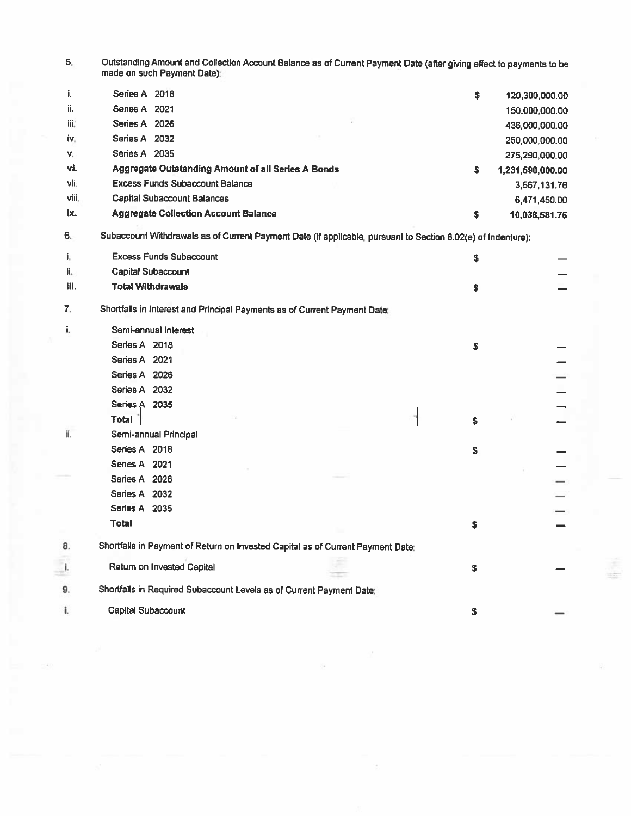5. Outstanding Amount and Collection Account Balance as of Current Payment Date (after giving effect to payments to be made on such Payment Date);

| j.    | Series A 2018                                      | \$ | 120,300,000.00   |
|-------|----------------------------------------------------|----|------------------|
| ii.   | Series A 2021                                      |    | 150,000,000.00   |
| iii.  | 2026<br>Series A                                   |    | 436,000,000.00   |
| iv.   | Series A 2032                                      |    | 250,000,000.00   |
| v.    | Series A 2035                                      |    | 275,290,000.00   |
| vi.   | Aggregate Outstanding Amount of all Series A Bonds | Ŝ  | 1,231,590,000.00 |
| vii.  | <b>Excess Funds Subaccount Balance</b>             |    | 3,567,131.76     |
| viii. | <b>Capital Subaccount Balances</b>                 |    | 6,471,450.00     |
| ix.   | <b>Aggregate Collection Account Balance</b>        | S  | 10,038,581.76    |

6. Subaccount Withdrawals as of Cunent Payment Date (if applicable, pursuant to Section 8.02(e) of Indenture):

| i.                             | <b>Excess Funds Subaccount</b>                                                  | \$ |    |  |  |  |
|--------------------------------|---------------------------------------------------------------------------------|----|----|--|--|--|
| ii.                            | <b>Capital Subaccount</b>                                                       |    |    |  |  |  |
| iii.                           | <b>Total Withdrawals</b>                                                        |    | s  |  |  |  |
| 7.                             | Shortfalls in Interest and Principal Payments as of Current Payment Date:       |    |    |  |  |  |
| i.                             | Semi-annual Interest                                                            |    |    |  |  |  |
|                                | Series A 2018                                                                   |    | \$ |  |  |  |
|                                | Series A 2021                                                                   |    |    |  |  |  |
|                                | Series A 2026                                                                   |    |    |  |  |  |
|                                | Series A 2032                                                                   |    |    |  |  |  |
|                                | Series A 2035                                                                   |    |    |  |  |  |
|                                | <b>Total</b>                                                                    |    | \$ |  |  |  |
| ii.                            | Semi-annual Principal                                                           |    |    |  |  |  |
|                                | Series A 2018                                                                   |    | s  |  |  |  |
|                                | Series A 2021                                                                   |    |    |  |  |  |
|                                | Series A 2026                                                                   |    |    |  |  |  |
|                                | Series A 2032                                                                   |    |    |  |  |  |
|                                | Series A 2035                                                                   |    |    |  |  |  |
|                                | <b>Total</b>                                                                    |    | s  |  |  |  |
| 8.                             | Shortfalls in Payment of Return on Invested Capital as of Current Payment Date: |    |    |  |  |  |
| $\begin{array}{c} \end{array}$ | Return on Invested Capital                                                      |    | \$ |  |  |  |
| 9.                             | Shortfalls in Required Subaccount Levels as of Current Payment Date:            |    |    |  |  |  |
| Î.                             | <b>Capital Subaccount</b>                                                       |    | \$ |  |  |  |

÷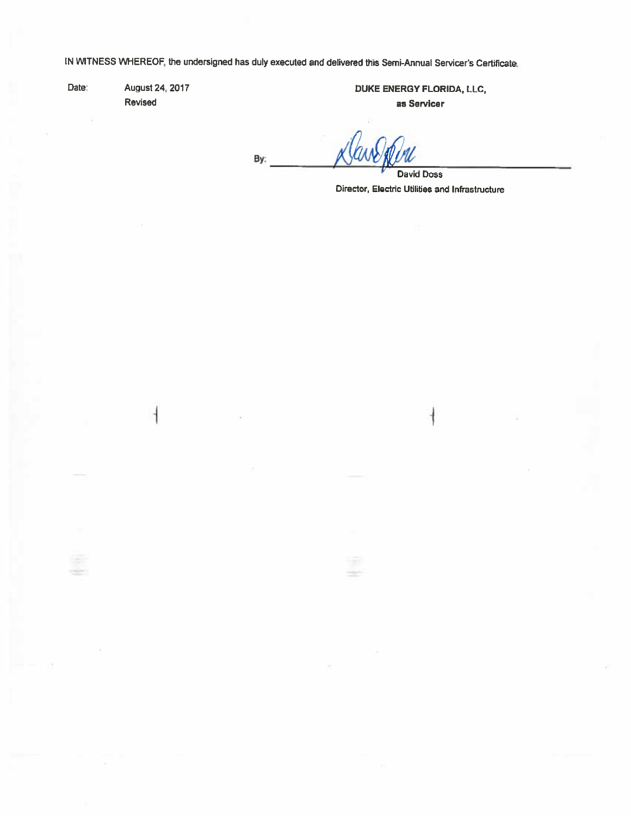IN WITNESS WHEREOF, the undersigned has duly executed and delivered this Semi-Annual Servicer's Certificate.

Date:

August 24, 2017 Revised

DUKE ENERGY FLORIDA, LLC, as Servicer

By:

**David Doss** Director, Electric Utilities and Infrastructure